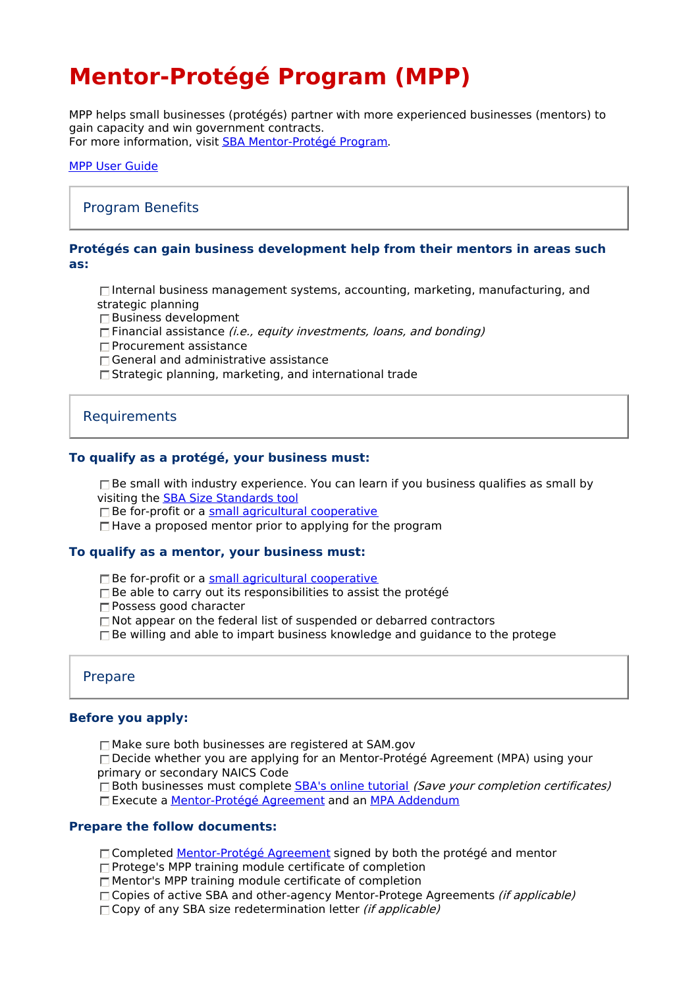# **Mentor-Protégé Program (MPP)**

MPP helps small businesses (protégés) partner with more experienced businesses (mentors) to gain capacity and win government contracts. For more information, visit SBA [Mentor-Protégé](https://www.sba.gov/federal-contracting/contracting-assistance-programs/sba-mentor-protege-program) Program.

#### MPP User [Guide](https://sbaone.atlassian.net/wiki/download/attachments/2524446722/MPP%20User%20Guide%20-%20Initial%20Application_Protege.pdf?api=v2)

# Program Benefits

#### **Protégés can gain business development help from their mentors in areas such as:**

 $\Box$ Internal business management systems, accounting, marketing, manufacturing, and strategic planning

- Business development
- $\Box$  Financial assistance (*i.e., equity investments, loans, and bonding*)
- $\square$  Procurement assistance
- □ General and administrative assistance
- $\square$  Strategic planning, marketing, and international trade

# Requirements

#### **To qualify as a protégé, your business must:**

 $\Box$  Be small with industry experience. You can learn if you business qualifies as small by visiting the SBA Size [Standards](https://www.sba.gov/document/support-table-size-standards) tool

 $\Box$  Be for-profit or a small agricultural [cooperative](https://www.ecfr.gov/current/title-13/chapter-I/part-121/subpart-A/subject-group-ECFRd133f03f6d8398b/section-121.105#p-121.105(a))

 $\Box$  Have a proposed mentor prior to applying for the program

#### **To qualify as a mentor, your business must:**

 $\Box$  Be for-profit or a small agricultural [cooperative](https://www.ecfr.gov/current/title-13/chapter-I/part-121/subpart-A/subject-group-ECFRd133f03f6d8398b/section-121.105#p-121.105(a))

- $\Box$  Be able to carry out its responsibilities to assist the protégé
- Possess good character
- □ Not appear on the federal list of suspended or debarred contractors
- $\square$  Be willing and able to impart business knowledge and guidance to the protege

### Prepare

#### **Before you apply:**

Make sure both businesses are registered at SAM.gov

 $\square$  Decide whether you are applying for an Mentor-Protégé Agreement (MPA) using your primary or secondary NAICS Code

 $\Box$  Both businesses must complete SBA's online [tutorial](https://learn.sba.gov/sba-mpp) (Save your completion certificates)

Execute a [Mentor-Protégé](https://www.sba.gov/document/support-sba-mentor-protege-program-agreement-template) Agreement and an MPA [Addendum](https://www.sba.gov/document/support-all-small-mentor-protege-program-mentor-protege-agreement-addendum)

## **Prepare the follow documents:**

- □ Completed [Mentor-Protégé](https://www.sba.gov/document/support-sba-mentor-protege-program-agreement-template) Agreement signed by both the protégé and mentor
- □ Protege's MPP training module certificate of completion
- $\Box$  Mentor's MPP training module certificate of completion
- □ Copies of active SBA and other-agency Mentor-Protege Agreements *(if applicable)*
- $\Box$  Copy of any SBA size redetermination letter *(if applicable)*